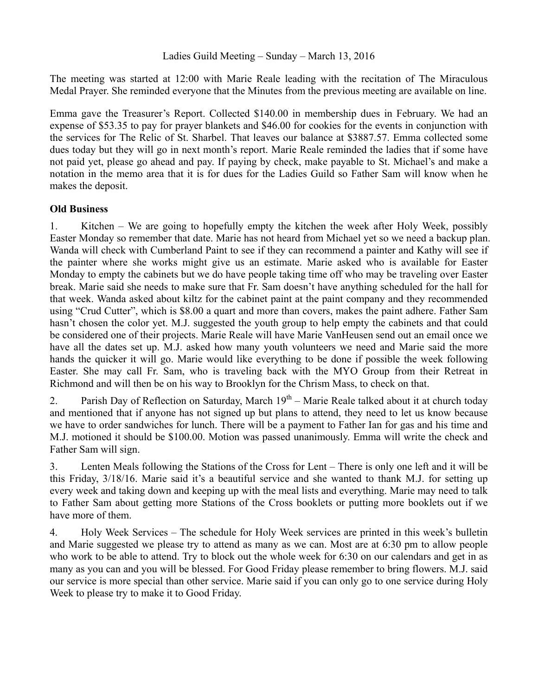The meeting was started at 12:00 with Marie Reale leading with the recitation of The Miraculous Medal Prayer. She reminded everyone that the Minutes from the previous meeting are available on line.

Emma gave the Treasurer's Report. Collected \$140.00 in membership dues in February. We had an expense of \$53.35 to pay for prayer blankets and \$46.00 for cookies for the events in conjunction with the services for The Relic of St. Sharbel. That leaves our balance at \$3887.57. Emma collected some dues today but they will go in next month's report. Marie Reale reminded the ladies that if some have not paid yet, please go ahead and pay. If paying by check, make payable to St. Michael's and make a notation in the memo area that it is for dues for the Ladies Guild so Father Sam will know when he makes the deposit.

## **Old Business**

1. Kitchen – We are going to hopefully empty the kitchen the week after Holy Week, possibly Easter Monday so remember that date. Marie has not heard from Michael yet so we need a backup plan. Wanda will check with Cumberland Paint to see if they can recommend a painter and Kathy will see if the painter where she works might give us an estimate. Marie asked who is available for Easter Monday to empty the cabinets but we do have people taking time off who may be traveling over Easter break. Marie said she needs to make sure that Fr. Sam doesn't have anything scheduled for the hall for that week. Wanda asked about kiltz for the cabinet paint at the paint company and they recommended using "Crud Cutter", which is \$8.00 a quart and more than covers, makes the paint adhere. Father Sam hasn't chosen the color yet. M.J. suggested the youth group to help empty the cabinets and that could be considered one of their projects. Marie Reale will have Marie VanHeusen send out an email once we have all the dates set up. M.J. asked how many youth volunteers we need and Marie said the more hands the quicker it will go. Marie would like everything to be done if possible the week following Easter. She may call Fr. Sam, who is traveling back with the MYO Group from their Retreat in Richmond and will then be on his way to Brooklyn for the Chrism Mass, to check on that.

2. Parish Day of Reflection on Saturday, March  $19<sup>th</sup>$  – Marie Reale talked about it at church today and mentioned that if anyone has not signed up but plans to attend, they need to let us know because we have to order sandwiches for lunch. There will be a payment to Father Ian for gas and his time and M.J. motioned it should be \$100.00. Motion was passed unanimously. Emma will write the check and Father Sam will sign.

3. Lenten Meals following the Stations of the Cross for Lent – There is only one left and it will be this Friday, 3/18/16. Marie said it's a beautiful service and she wanted to thank M.J. for setting up every week and taking down and keeping up with the meal lists and everything. Marie may need to talk to Father Sam about getting more Stations of the Cross booklets or putting more booklets out if we have more of them.

4. Holy Week Services – The schedule for Holy Week services are printed in this week's bulletin and Marie suggested we please try to attend as many as we can. Most are at 6:30 pm to allow people who work to be able to attend. Try to block out the whole week for 6:30 on our calendars and get in as many as you can and you will be blessed. For Good Friday please remember to bring flowers. M.J. said our service is more special than other service. Marie said if you can only go to one service during Holy Week to please try to make it to Good Friday.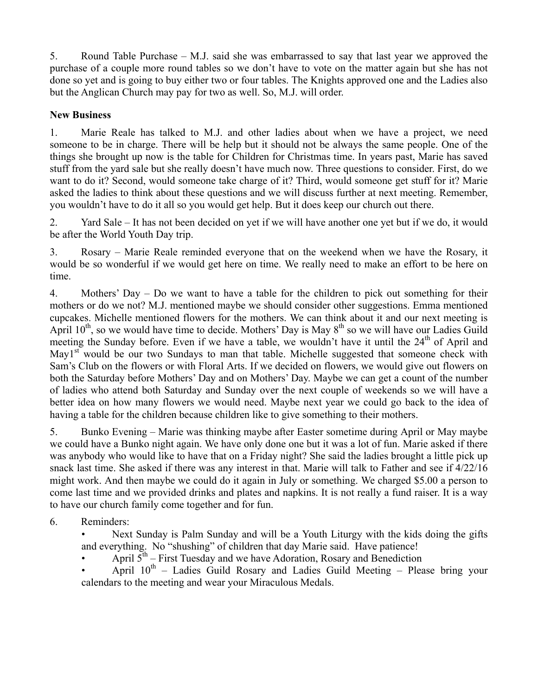5. Round Table Purchase – M.J. said she was embarrassed to say that last year we approved the purchase of a couple more round tables so we don't have to vote on the matter again but she has not done so yet and is going to buy either two or four tables. The Knights approved one and the Ladies also but the Anglican Church may pay for two as well. So, M.J. will order.

## **New Business**

1. Marie Reale has talked to M.J. and other ladies about when we have a project, we need someone to be in charge. There will be help but it should not be always the same people. One of the things she brought up now is the table for Children for Christmas time. In years past, Marie has saved stuff from the yard sale but she really doesn't have much now. Three questions to consider. First, do we want to do it? Second, would someone take charge of it? Third, would someone get stuff for it? Marie asked the ladies to think about these questions and we will discuss further at next meeting. Remember, you wouldn't have to do it all so you would get help. But it does keep our church out there.

2. Yard Sale – It has not been decided on yet if we will have another one yet but if we do, it would be after the World Youth Day trip.

3. Rosary – Marie Reale reminded everyone that on the weekend when we have the Rosary, it would be so wonderful if we would get here on time. We really need to make an effort to be here on time.

4. Mothers' Day – Do we want to have a table for the children to pick out something for their mothers or do we not? M.J. mentioned maybe we should consider other suggestions. Emma mentioned cupcakes. Michelle mentioned flowers for the mothers. We can think about it and our next meeting is April  $10^{th}$ , so we would have time to decide. Mothers' Day is May  $8^{th}$  so we will have our Ladies Guild meeting the Sunday before. Even if we have a table, we wouldn't have it until the  $24<sup>th</sup>$  of April and May $1<sup>st</sup>$  would be our two Sundays to man that table. Michelle suggested that someone check with Sam's Club on the flowers or with Floral Arts. If we decided on flowers, we would give out flowers on both the Saturday before Mothers' Day and on Mothers' Day. Maybe we can get a count of the number of ladies who attend both Saturday and Sunday over the next couple of weekends so we will have a better idea on how many flowers we would need. Maybe next year we could go back to the idea of having a table for the children because children like to give something to their mothers.

5. Bunko Evening – Marie was thinking maybe after Easter sometime during April or May maybe we could have a Bunko night again. We have only done one but it was a lot of fun. Marie asked if there was anybody who would like to have that on a Friday night? She said the ladies brought a little pick up snack last time. She asked if there was any interest in that. Marie will talk to Father and see if 4/22/16 might work. And then maybe we could do it again in July or something. We charged \$5.00 a person to come last time and we provided drinks and plates and napkins. It is not really a fund raiser. It is a way to have our church family come together and for fun.

6. Reminders:

• Next Sunday is Palm Sunday and will be a Youth Liturgy with the kids doing the gifts and everything. No "shushing" of children that day Marie said. Have patience!

April  $5<sup>th</sup>$  – First Tuesday and we have Adoration, Rosary and Benediction

April  $10^{th}$  – Ladies Guild Rosary and Ladies Guild Meeting – Please bring your calendars to the meeting and wear your Miraculous Medals.